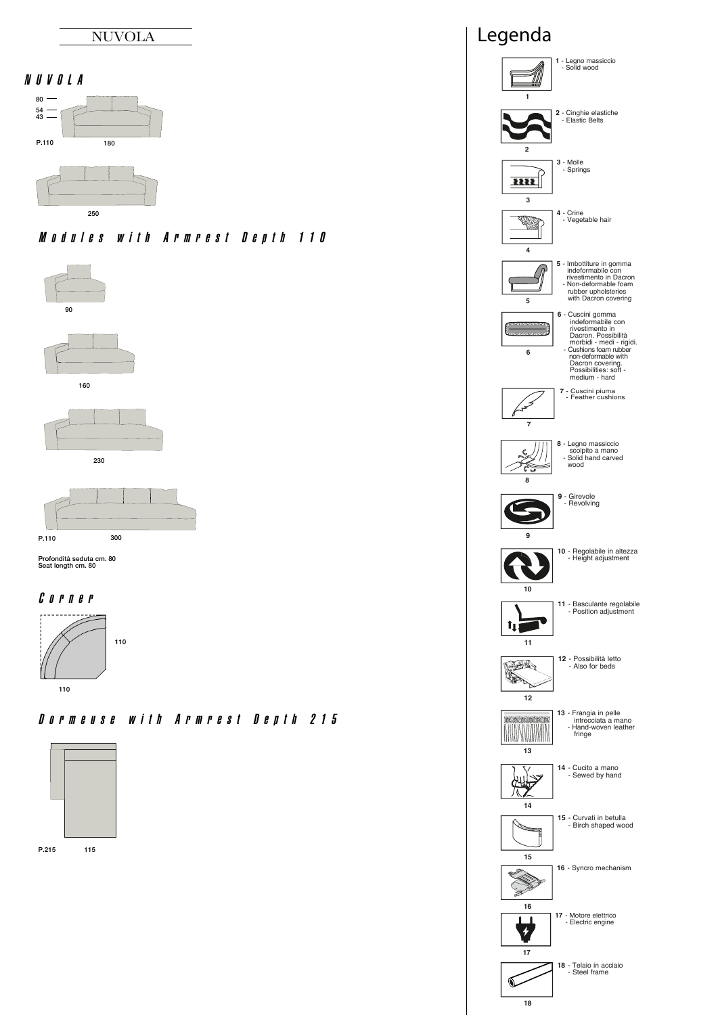

# N U V O L A





Modules with Armrest Denth 110











Profondità seduta cm. 80 Seat length cm. 80

### C o r n e r



## D <sup>o</sup> <sup>r</sup> <sup>m</sup> <sup>e</sup> <sup>u</sup> <sup>s</sup> <sup>e</sup> wit h A <sup>r</sup> <sup>m</sup> <sup>r</sup> <sup>e</sup> <sup>s</sup> t D <sup>e</sup> p t h 2 1 5



P.215 115